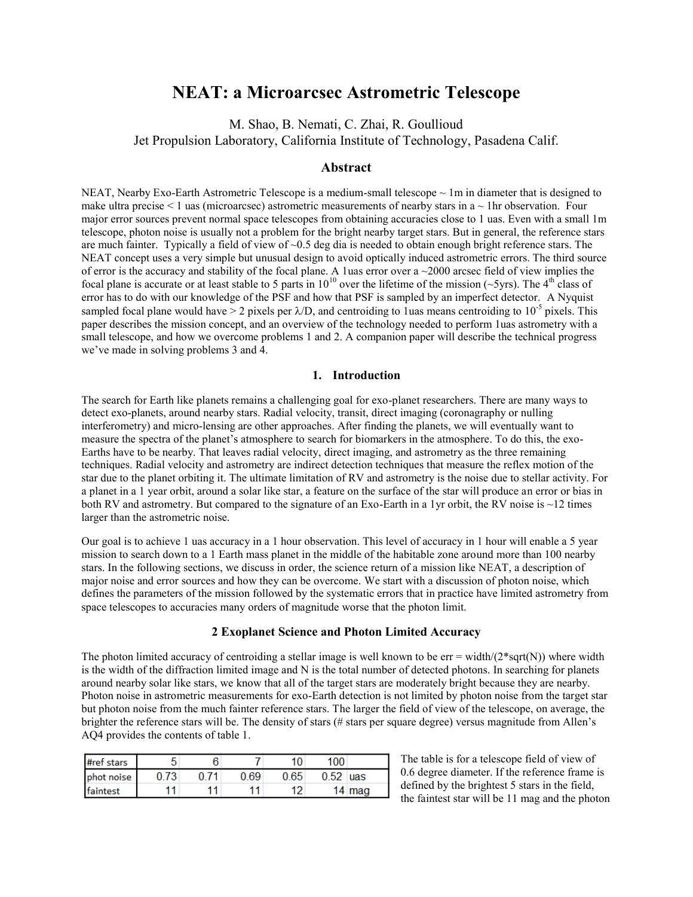# **NEAT: a Microarcsec Astrometric Telescope**

M. Shao, B. Nemati, C. Zhai, R. Goullioud Jet Propulsion Laboratory, California Institute of Technology, Pasadena Calif.

## **Abstract**

NEAT, Nearby Exo-Earth Astrometric Telescope is a medium-small telescope  $\sim 1$ m in diameter that is designed to make ultra precise  $\leq 1$  uas (microarcsec) astrometric measurements of nearby stars in a  $\sim 1$ hr observation. Four major error sources prevent normal space telescopes from obtaining accuracies close to 1 uas. Even with a small 1m telescope, photon noise is usually not a problem for the bright nearby target stars. But in general, the reference stars are much fainter. Typically a field of view of  $\sim 0.5$  deg dia is needed to obtain enough bright reference stars. The NEAT concept uses a very simple but unusual design to avoid optically induced astrometric errors. The third source of error is the accuracy and stability of the focal plane. A 1uas error over a  $\sim$ 2000 arcsec field of view implies the focal plane is accurate or at least stable to 5 parts in  $10^{10}$  over the lifetime of the mission (~5yrs). The 4<sup>th</sup> class of error has to do with our knowledge of the PSF and how that PSF is sampled by an imperfect detector. A Nyquist sampled focal plane would have  $> 2$  pixels per  $\lambda$ /D, and centroiding to 1uas means centroiding to 10<sup>-5</sup> pixels. This paper describes the mission concept, and an overview of the technology needed to perform 1uas astrometry with a small telescope, and how we overcome problems 1 and 2. A companion paper will describe the technical progress we've made in solving problems 3 and 4.

#### **1. Introduction**

The search for Earth like planets remains a challenging goal for exo-planet researchers. There are many ways to detect exo-planets, around nearby stars. Radial velocity, transit, direct imaging (coronagraphy or nulling interferometry) and micro-lensing are other approaches. After finding the planets, we will eventually want to measure the spectra of the planet's atmosphere to search for biomarkers in the atmosphere. To do this, the exo-Earths have to be nearby. That leaves radial velocity, direct imaging, and astrometry as the three remaining techniques. Radial velocity and astrometry are indirect detection techniques that measure the reflex motion of the star due to the planet orbiting it. The ultimate limitation of RV and astrometry is the noise due to stellar activity. For a planet in a 1 year orbit, around a solar like star, a feature on the surface of the star will produce an error or bias in both RV and astrometry. But compared to the signature of an Exo-Earth in a 1yr orbit, the RV noise is ~12 times larger than the astrometric noise.

Our goal is to achieve 1 uas accuracy in a 1 hour observation. This level of accuracy in 1 hour will enable a 5 year mission to search down to a 1 Earth mass planet in the middle of the habitable zone around more than 100 nearby stars. In the following sections, we discuss in order, the science return of a mission like NEAT, a description of major noise and error sources and how they can be overcome. We start with a discussion of photon noise, which defines the parameters of the mission followed by the systematic errors that in practice have limited astrometry from space telescopes to accuracies many orders of magnitude worse that the photon limit.

#### **2 Exoplanet Science and Photon Limited Accuracy**

The photon limited accuracy of centroiding a stellar image is well known to be  $err = width/(2*sqrt(N))$  where width is the width of the diffraction limited image and N is the total number of detected photons. In searching for planets around nearby solar like stars, we know that all of the target stars are moderately bright because they are nearby. Photon noise in astrometric measurements for exo-Earth detection is not limited by photon noise from the target star but photon noise from the much fainter reference stars. The larger the field of view of the telescope, on average, the brighter the reference stars will be. The density of stars (# stars per square degree) versus magnitude from Allen's AQ4 provides the contents of table 1.

| #ref stars |      |    |      |      | 100 <sub>1</sub> |          |
|------------|------|----|------|------|------------------|----------|
| phot noise | 0.73 |    | 0.69 | 0.65 | 0.52             | uas      |
| faintest   |      | 11 |      |      |                  | 14 $mag$ |

The table is for a telescope field of view of 0.6 degree diameter. If the reference frame is defined by the brightest 5 stars in the field, the faintest star will be 11 mag and the photon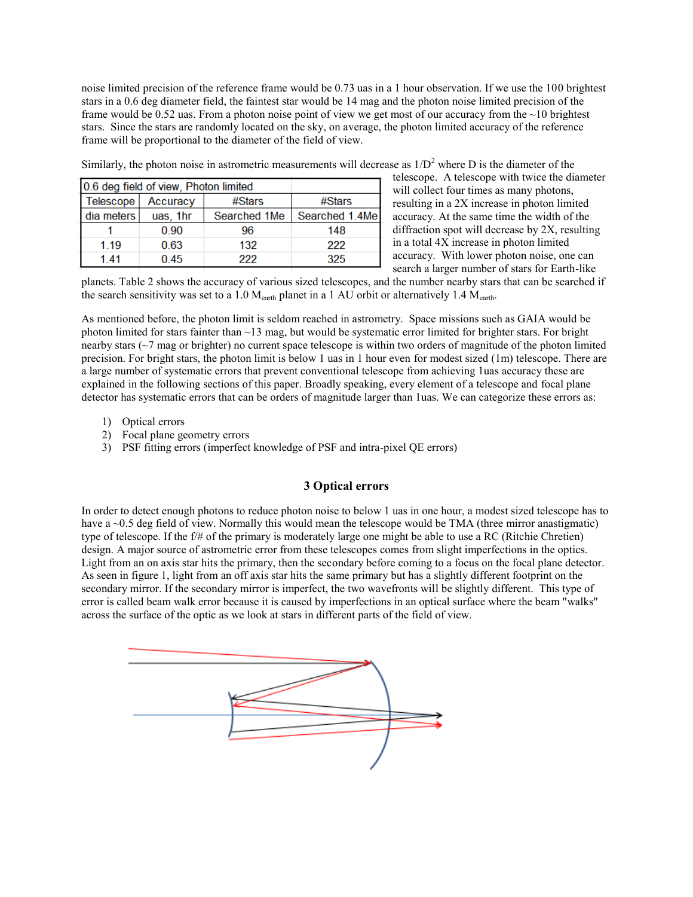noise limited precision of the reference frame would be 0.73 uas in a 1 hour observation. If we use the 100 brightest stars in a 0.6 deg diameter field, the faintest star would be 14 mag and the photon noise limited precision of the frame would be 0.52 uas. From a photon noise point of view we get most of our accuracy from the ~10 brightest stars. Since the stars are randomly located on the sky, on average, the photon limited accuracy of the reference frame will be proportional to the diameter of the field of view.

| 0.6 deg field of view, Photon limited |          |              |                |
|---------------------------------------|----------|--------------|----------------|
| <b>Telescope</b>                      | Accuracy | #Stars       | #Stars         |
| dia meters                            | uas, 1hr | Searched 1Me | Searched 1.4Me |
|                                       | 0.90     | 96           | 148            |
| 1.19                                  | 0.63     | 132          | 222            |
| 141                                   | 0.45     | 222          | 325            |

Similarly, the photon noise in astrometric measurements will decrease as  $1/D<sup>2</sup>$  where D is the diameter of the

telescope. A telescope with twice the diameter will collect four times as many photons, resulting in a 2X increase in photon limited accuracy. At the same time the width of the diffraction spot will decrease by 2X, resulting in a total 4X increase in photon limited accuracy. With lower photon noise, one can search a larger number of stars for Earth-like

planets. Table 2 shows the accuracy of various sized telescopes, and the number nearby stars that can be searched if the search sensitivity was set to a 1.0  $M_{\text{earth}}$  planet in a 1 AU orbit or alternatively 1.4  $M_{\text{earth}}$ .

As mentioned before, the photon limit is seldom reached in astrometry. Space missions such as GAIA would be photon limited for stars fainter than  $\sim$ 13 mag, but would be systematic error limited for brighter stars. For bright nearby stars (~7 mag or brighter) no current space telescope is within two orders of magnitude of the photon limited precision. For bright stars, the photon limit is below 1 uas in 1 hour even for modest sized (1m) telescope. There are a large number of systematic errors that prevent conventional telescope from achieving 1uas accuracy these are explained in the following sections of this paper. Broadly speaking, every element of a telescope and focal plane detector has systematic errors that can be orders of magnitude larger than 1uas. We can categorize these errors as:

- 1) Optical errors
- 2) Focal plane geometry errors
- 3) PSF fitting errors (imperfect knowledge of PSF and intra-pixel QE errors)

## **3 Optical errors**

In order to detect enough photons to reduce photon noise to below 1 uas in one hour, a modest sized telescope has to have a ~0.5 deg field of view. Normally this would mean the telescope would be TMA (three mirror anastigmatic) type of telescope. If the f/# of the primary is moderately large one might be able to use a RC (Ritchie Chretien) design. A major source of astrometric error from these telescopes comes from slight imperfections in the optics. Light from an on axis star hits the primary, then the secondary before coming to a focus on the focal plane detector. As seen in figure 1, light from an off axis star hits the same primary but has a slightly different footprint on the secondary mirror. If the secondary mirror is imperfect, the two wavefronts will be slightly different. This type of error is called beam walk error because it is caused by imperfections in an optical surface where the beam "walks" across the surface of the optic as we look at stars in different parts of the field of view.

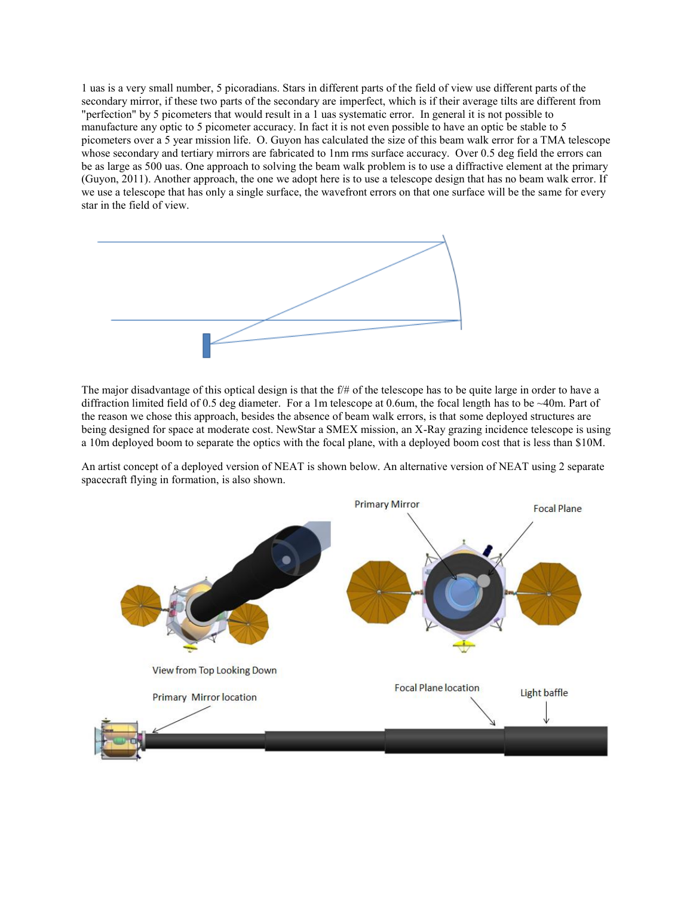1 uas is a very small number, 5 picoradians. Stars in different parts of the field of view use different parts of the secondary mirror, if these two parts of the secondary are imperfect, which is if their average tilts are different from "perfection" by 5 picometers that would result in a 1 uas systematic error. In general it is not possible to manufacture any optic to 5 picometer accuracy. In fact it is not even possible to have an optic be stable to 5 picometers over a 5 year mission life. O. Guyon has calculated the size of this beam walk error for a TMA telescope whose secondary and tertiary mirrors are fabricated to 1nm rms surface accuracy. Over 0.5 deg field the errors can be as large as 500 uas. One approach to solving the beam walk problem is to use a diffractive element at the primary (Guyon, 2011). Another approach, the one we adopt here is to use a telescope design that has no beam walk error. If we use a telescope that has only a single surface, the wavefront errors on that one surface will be the same for every star in the field of view.



The major disadvantage of this optical design is that the f/# of the telescope has to be quite large in order to have a diffraction limited field of 0.5 deg diameter. For a 1m telescope at 0.6um, the focal length has to be ~40m. Part of the reason we chose this approach, besides the absence of beam walk errors, is that some deployed structures are being designed for space at moderate cost. NewStar a SMEX mission, an X-Ray grazing incidence telescope is using a 10m deployed boom to separate the optics with the focal plane, with a deployed boom cost that is less than \$10M.

An artist concept of a deployed version of NEAT is shown below. An alternative version of NEAT using 2 separate spacecraft flying in formation, is also shown.

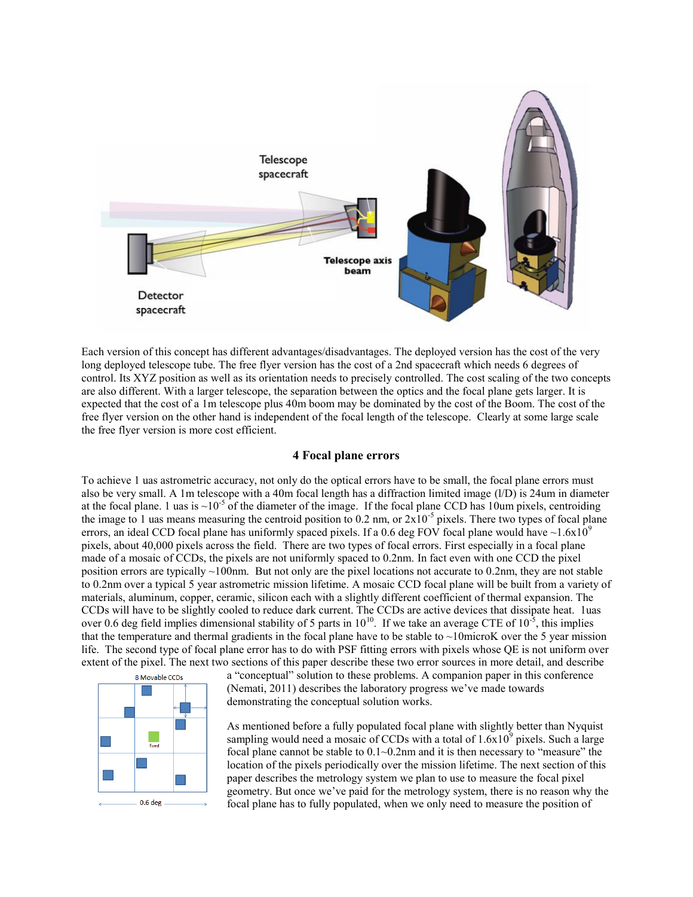

Each version of this concept has different advantages/disadvantages. The deployed version has the cost of the very long deployed telescope tube. The free flyer version has the cost of a 2nd spacecraft which needs 6 degrees of control. Its XYZ position as well as its orientation needs to precisely controlled. The cost scaling of the two concepts are also different. With a larger telescope, the separation between the optics and the focal plane gets larger. It is expected that the cost of a 1m telescope plus 40m boom may be dominated by the cost of the Boom. The cost of the free flyer version on the other hand is independent of the focal length of the telescope. Clearly at some large scale the free flyer version is more cost efficient.

### **4 Focal plane errors**

To achieve 1 uas astrometric accuracy, not only do the optical errors have to be small, the focal plane errors must also be very small. A 1m telescope with a 40m focal length has a diffraction limited image (l/D) is 24um in diameter at the focal plane. 1 uas is  $\sim 10^{-5}$  of the diameter of the image. If the focal plane CCD has 10um pixels, centroiding the image to 1 uas means measuring the centroid position to 0.2 nm, or  $2x10^{-5}$  pixels. There two types of focal plane errors, an ideal CCD focal plane has uniformly spaced pixels. If a 0.6 deg FOV focal plane would have  $\sim$ 1.6x10<sup>9</sup> pixels, about 40,000 pixels across the field. There are two types of focal errors. First especially in a focal plane made of a mosaic of CCDs, the pixels are not uniformly spaced to 0.2nm. In fact even with one CCD the pixel position errors are typically ~100nm. But not only are the pixel locations not accurate to 0.2nm, they are not stable to 0.2nm over a typical 5 year astrometric mission lifetime. A mosaic CCD focal plane will be built from a variety of materials, aluminum, copper, ceramic, silicon each with a slightly different coefficient of thermal expansion. The CCDs will have to be slightly cooled to reduce dark current. The CCDs are active devices that dissipate heat. 1uas over 0.6 deg field implies dimensional stability of 5 parts in  $10^{10}$ . If we take an average CTE of  $10^{-5}$ , this implies that the temperature and thermal gradients in the focal plane have to be stable to  $\sim$ 10microK over the 5 year mission life. The second type of focal plane error has to do with PSF fitting errors with pixels whose QE is not uniform over extent of the pixel. The next two sections of this paper describe these two error sources in more detail, and describe



a "conceptual" solution to these problems. A companion paper in this conference (Nemati, 2011) describes the laboratory progress we've made towards demonstrating the conceptual solution works.

As mentioned before a fully populated focal plane with slightly better than Nyquist sampling would need a mosaic of CCDs with a total of  $1.6x10<sup>9</sup>$  pixels. Such a large focal plane cannot be stable to 0.1~0.2nm and it is then necessary to "measure" the location of the pixels periodically over the mission lifetime. The next section of this paper describes the metrology system we plan to use to measure the focal pixel geometry. But once we've paid for the metrology system, there is no reason why the focal plane has to fully populated, when we only need to measure the position of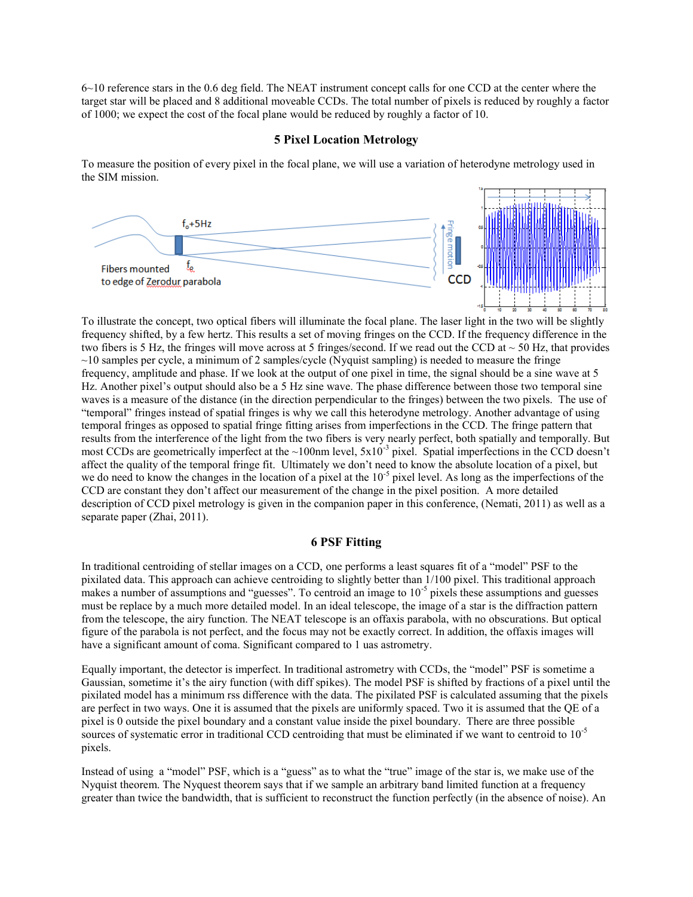6~10 reference stars in the 0.6 deg field. The NEAT instrument concept calls for one CCD at the center where the target star will be placed and 8 additional moveable CCDs. The total number of pixels is reduced by roughly a factor of 1000; we expect the cost of the focal plane would be reduced by roughly a factor of 10.

#### **5 Pixel Location Metrology**

To measure the position of every pixel in the focal plane, we will use a variation of heterodyne metrology used in the SIM mission.



To illustrate the concept, two optical fibers will illuminate the focal plane. The laser light in the two will be slightly frequency shifted, by a few hertz. This results a set of moving fringes on the CCD. If the frequency difference in the two fibers is 5 Hz, the fringes will move across at 5 fringes/second. If we read out the CCD at  $\sim$  50 Hz, that provides  $\sim$ 10 samples per cycle, a minimum of 2 samples/cycle (Nyquist sampling) is needed to measure the fringe frequency, amplitude and phase. If we look at the output of one pixel in time, the signal should be a sine wave at 5 Hz. Another pixel's output should also be a 5 Hz sine wave. The phase difference between those two temporal sine waves is a measure of the distance (in the direction perpendicular to the fringes) between the two pixels. The use of "temporal" fringes instead of spatial fringes is why we call this heterodyne metrology. Another advantage of using temporal fringes as opposed to spatial fringe fitting arises from imperfections in the CCD. The fringe pattern that results from the interference of the light from the two fibers is very nearly perfect, both spatially and temporally. But most CCDs are geometrically imperfect at the  $\sim$ 100nm level,  $5x10^{-3}$  pixel. Spatial imperfections in the CCD doesn't affect the quality of the temporal fringe fit. Ultimately we don't need to know the absolute location of a pixel, but we do need to know the changes in the location of a pixel at the 10<sup>-5</sup> pixel level. As long as the imperfections of the CCD are constant they don't affect our measurement of the change in the pixel position. A more detailed description of CCD pixel metrology is given in the companion paper in this conference, (Nemati, 2011) as well as a separate paper (Zhai, 2011).

## **6 PSF Fitting**

In traditional centroiding of stellar images on a CCD, one performs a least squares fit of a "model" PSF to the pixilated data. This approach can achieve centroiding to slightly better than 1/100 pixel. This traditional approach makes a number of assumptions and "guesses". To centroid an image to  $10^{-5}$  pixels these assumptions and guesses must be replace by a much more detailed model. In an ideal telescope, the image of a star is the diffraction pattern from the telescope, the airy function. The NEAT telescope is an offaxis parabola, with no obscurations. But optical figure of the parabola is not perfect, and the focus may not be exactly correct. In addition, the offaxis images will have a significant amount of coma. Significant compared to 1 uas astrometry.

Equally important, the detector is imperfect. In traditional astrometry with CCDs, the "model" PSF is sometime a Gaussian, sometime it's the airy function (with diff spikes). The model PSF is shifted by fractions of a pixel until the pixilated model has a minimum rss difference with the data. The pixilated PSF is calculated assuming that the pixels are perfect in two ways. One it is assumed that the pixels are uniformly spaced. Two it is assumed that the QE of a pixel is 0 outside the pixel boundary and a constant value inside the pixel boundary. There are three possible sources of systematic error in traditional CCD centroiding that must be eliminated if we want to centroid to 10<sup>-5</sup> pixels.

Instead of using a "model" PSF, which is a "guess" as to what the "true" image of the star is, we make use of the Nyquist theorem. The Nyquest theorem says that if we sample an arbitrary band limited function at a frequency greater than twice the bandwidth, that is sufficient to reconstruct the function perfectly (in the absence of noise). An